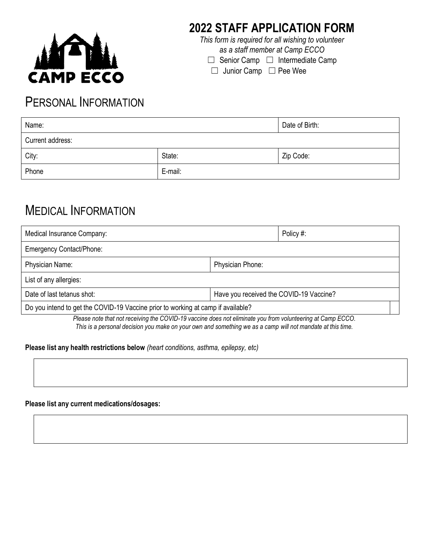

## **2022 STAFF APPLICATION FORM**

*This form is required for all wishing to volunteer as a staff member at Camp ECCO*

□ Senior Camp □ Intermediate Camp

☐ Junior Camp ☐ Pee Wee

### PERSONAL INFORMATION

| Name:            |         | Date of Birth: |
|------------------|---------|----------------|
| Current address: |         |                |
| City:            | State:  | Zip Code:      |
| Phone            | E-mail: |                |

## MEDICAL INFORMATION

| Medical Insurance Company:                                                       |                         | Policy #:     |  |
|----------------------------------------------------------------------------------|-------------------------|---------------|--|
| <b>Emergency Contact/Phone:</b>                                                  |                         |               |  |
| Physician Name:                                                                  | <b>Physician Phone:</b> |               |  |
| List of any allergies:                                                           |                         |               |  |
| Date of last tetanus shot:<br>Have you received the COVID-19 Vaccine?            |                         |               |  |
| Do you intend to get the COVID-19 Vaccine prior to working at camp if available? |                         |               |  |
| <b>PU LULL LUCALIDAD LULLIUM LULLIUM DE LULLIUM DE LULLIUM DE LUCI.</b>          |                         | $\sim$ $\sim$ |  |

*Please note that not receiving the COVID-19 vaccine does not eliminate you from volunteering at Camp ECCO. This is a personal decision you make on your own and something we as a camp will not mandate at this time.*

### **Please list any health restrictions below** *(heart conditions, asthma, epilepsy, etc)*

### **Please list any current medications/dosages:**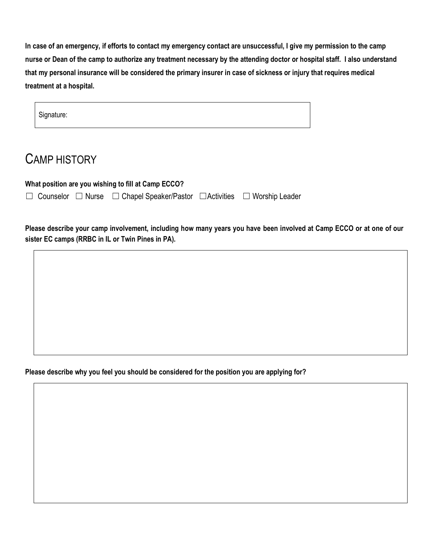**In case of an emergency, if efforts to contact my emergency contact are unsuccessful, I give my permission to the camp nurse or Dean of the camp to authorize any treatment necessary by the attending doctor or hospital staff. I also understand that my personal insurance will be considered the primary insurer in case of sickness or injury that requires medical treatment at a hospital.**

| Signature: |  |  |  |
|------------|--|--|--|
|            |  |  |  |

## CAMP HISTORY

**What position are you wishing to fill at Camp ECCO?** 

☐ Counselor ☐ Nurse ☐ Chapel Speaker/Pastor ☐Activities ☐ Worship Leader

**Please describe your camp involvement, including how many years you have been involved at Camp ECCO or at one of our sister EC camps (RRBC in IL or Twin Pines in PA).**

**Please describe why you feel you should be considered for the position you are applying for?**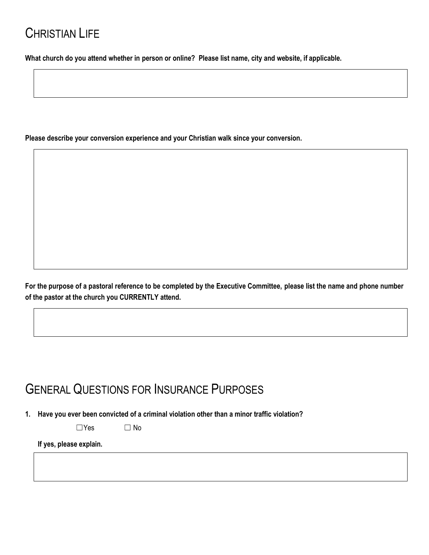## CHRISTIAN LIFE

**What church do you attend whether in person or online? Please list name, city and website, if applicable.**

**Please describe your conversion experience and your Christian walk since your conversion.** 

**For the purpose of a pastoral reference to be completed by the Executive Committee, please list the name and phone number of the pastor at the church you CURRENTLY attend.** 

## GENERAL QUESTIONS FOR INSURANCE PURPOSES

**1. Have you ever been convicted of a criminal violation other than a minor traffic violation?** 

 $\square$ Yes  $\square$  No

**If yes, please explain.**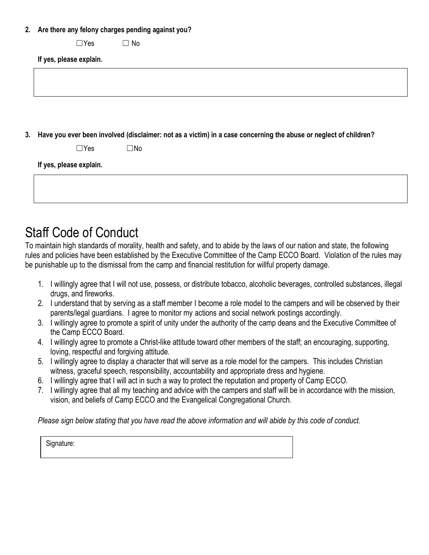### **2. Are there any felony charges pending against you?**

 $\square$ Yes  $\square$  No

**If yes, please explain.**

**3. Have you ever been involved (disclaimer: not as a victim) in a case concerning the abuse or neglect of children?** 

| $\Box$ Yes | $\square$ No |
|------------|--------------|
|------------|--------------|

**If yes, please explain.**

| $\mathbf{u}$ yes, piedse explain. |  |  |  |  |  |
|-----------------------------------|--|--|--|--|--|
|                                   |  |  |  |  |  |
|                                   |  |  |  |  |  |
|                                   |  |  |  |  |  |

# Staff Code of Conduct

To maintain high standards of morality, health and safety, and to abide by the laws of our nation and state, the following rules and policies have been established by the Executive Committee of the Camp ECCO Board. Violation of the rules may be punishable up to the dismissal from the camp and financial restitution for willful property damage.

- 1. I willingly agree that I will not use, possess, or distribute tobacco, alcoholic beverages, controlled substances, illegal drugs, and fireworks.
- 2. I understand that by serving as a staff member I become a role model to the campers and will be observed by their parents/legal guardians. I agree to monitor my actions and social network postings accordingly.
- 3. I willingly agree to promote a spirit of unity under the authority of the camp deans and the Executive Committee of the Camp ECCO Board.
- 4. I willingly agree to promote a Christ-like attitude toward other members of the staff; an encouraging, supporting, loving, respectful and forgiving attitude.
- 5. I willingly agree to display a character that will serve as a role model for the campers. This includes Christian witness, graceful speech, responsibility, accountability and appropriate dress and hygiene.
- 6. I willingly agree that I will act in such a way to protect the reputation and property of Camp ECCO.
- 7. I willingly agree that all my teaching and advice with the campers and staff will be in accordance with the mission, vision, and beliefs of Camp ECCO and the Evangelical Congregational Church.

*Please sign below stating that you have read the above information and will abide by this code of conduct.*

Signature: